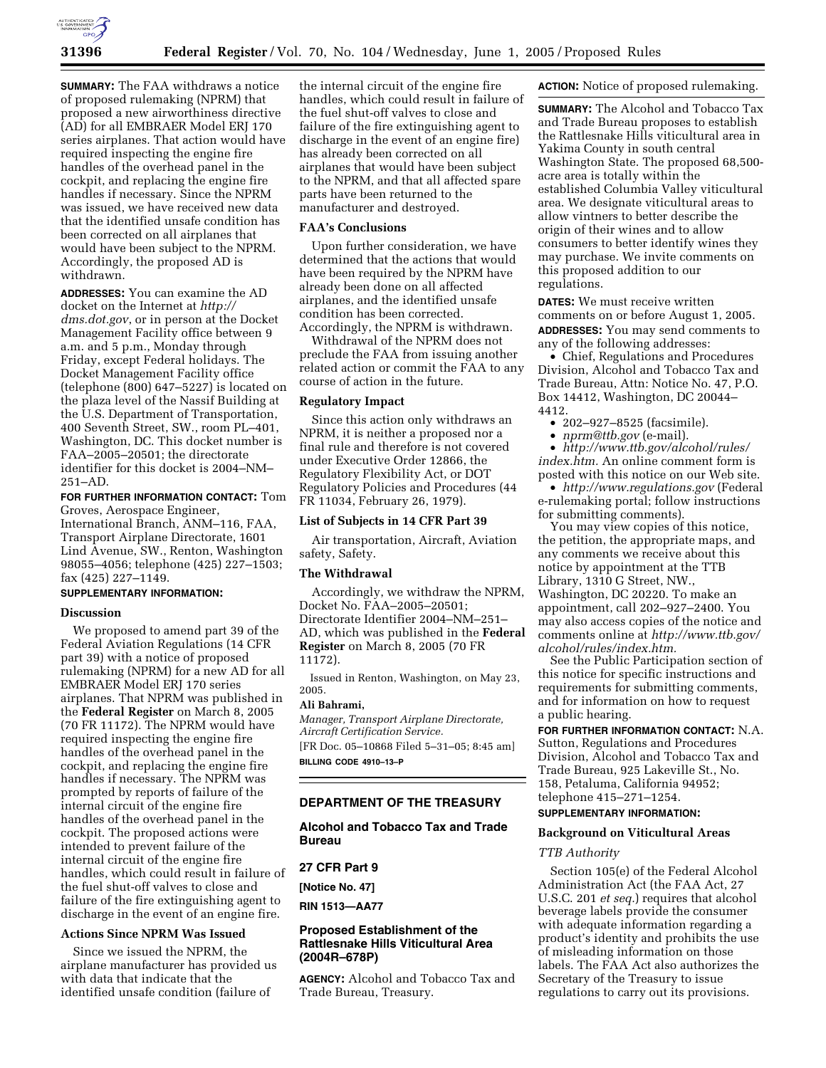

**SUMMARY:** The FAA withdraws a notice of proposed rulemaking (NPRM) that proposed a new airworthiness directive (AD) for all EMBRAER Model ERJ 170 series airplanes. That action would have required inspecting the engine fire handles of the overhead panel in the cockpit, and replacing the engine fire handles if necessary. Since the NPRM was issued, we have received new data that the identified unsafe condition has been corrected on all airplanes that would have been subject to the NPRM. Accordingly, the proposed AD is withdrawn.

**ADDRESSES:** You can examine the AD docket on the Internet at *http:// dms.dot.gov*, or in person at the Docket Management Facility office between 9 a.m. and 5 p.m., Monday through Friday, except Federal holidays. The Docket Management Facility office (telephone (800) 647–5227) is located on the plaza level of the Nassif Building at the U.S. Department of Transportation, 400 Seventh Street, SW., room PL–401, Washington, DC. This docket number is FAA–2005–20501; the directorate identifier for this docket is 2004–NM–  $251 - AD$ 

# **FOR FURTHER INFORMATION CONTACT:** Tom

Groves, Aerospace Engineer, International Branch, ANM–116, FAA, Transport Airplane Directorate, 1601 Lind Avenue, SW., Renton, Washington 98055–4056; telephone (425) 227–1503; fax (425) 227–1149.

# **SUPPLEMENTARY INFORMATION:**

# **Discussion**

We proposed to amend part 39 of the Federal Aviation Regulations (14 CFR part 39) with a notice of proposed rulemaking (NPRM) for a new AD for all EMBRAER Model ERJ 170 series airplanes. That NPRM was published in the **Federal Register** on March 8, 2005 (70 FR 11172). The NPRM would have required inspecting the engine fire handles of the overhead panel in the cockpit, and replacing the engine fire handles if necessary. The NPRM was prompted by reports of failure of the internal circuit of the engine fire handles of the overhead panel in the cockpit. The proposed actions were intended to prevent failure of the internal circuit of the engine fire handles, which could result in failure of the fuel shut-off valves to close and failure of the fire extinguishing agent to discharge in the event of an engine fire.

# **Actions Since NPRM Was Issued**

Since we issued the NPRM, the airplane manufacturer has provided us with data that indicate that the identified unsafe condition (failure of

the internal circuit of the engine fire handles, which could result in failure of the fuel shut-off valves to close and failure of the fire extinguishing agent to discharge in the event of an engine fire) has already been corrected on all airplanes that would have been subject to the NPRM, and that all affected spare parts have been returned to the manufacturer and destroyed.

# **FAA's Conclusions**

Upon further consideration, we have determined that the actions that would have been required by the NPRM have already been done on all affected airplanes, and the identified unsafe condition has been corrected. Accordingly, the NPRM is withdrawn.

Withdrawal of the NPRM does not preclude the FAA from issuing another related action or commit the FAA to any course of action in the future.

## **Regulatory Impact**

Since this action only withdraws an NPRM, it is neither a proposed nor a final rule and therefore is not covered under Executive Order 12866, the Regulatory Flexibility Act, or DOT Regulatory Policies and Procedures (44 FR 11034, February 26, 1979).

## **List of Subjects in 14 CFR Part 39**

Air transportation, Aircraft, Aviation safety, Safety.

# **The Withdrawal**

Accordingly, we withdraw the NPRM, Docket No. FAA–2005–20501; Directorate Identifier 2004–NM–251– AD, which was published in the **Federal Register** on March 8, 2005 (70 FR 11172).

Issued in Renton, Washington, on May 23, 2005.

# **Ali Bahrami,**

*Manager, Transport Airplane Directorate, Aircraft Certification Service.* [FR Doc. 05–10868 Filed 5–31–05; 8:45 am] **BILLING CODE 4910–13–P**

## **DEPARTMENT OF THE TREASURY**

**Alcohol and Tobacco Tax and Trade Bureau** 

# **27 CFR Part 9**

**[Notice No. 47]** 

**RIN 1513—AA77** 

# **Proposed Establishment of the Rattlesnake Hills Viticultural Area (2004R–678P)**

**AGENCY:** Alcohol and Tobacco Tax and Trade Bureau, Treasury.

**ACTION:** Notice of proposed rulemaking.

**SUMMARY:** The Alcohol and Tobacco Tax and Trade Bureau proposes to establish the Rattlesnake Hills viticultural area in Yakima County in south central Washington State. The proposed 68,500 acre area is totally within the established Columbia Valley viticultural area. We designate viticultural areas to allow vintners to better describe the origin of their wines and to allow consumers to better identify wines they may purchase. We invite comments on this proposed addition to our regulations.

**DATES:** We must receive written comments on or before August 1, 2005. **ADDRESSES:** You may send comments to any of the following addresses:

• Chief, Regulations and Procedures Division, Alcohol and Tobacco Tax and Trade Bureau, Attn: Notice No. 47, P.O. Box 14412, Washington, DC 20044– 4412.

- 202–927–8525 (facsimile).
- *nprm@ttb.gov* (e-mail).

• *http://www.ttb.gov/alcohol/rules/ index.htm.* An online comment form is posted with this notice on our Web site.

• *http://www.regulations.gov* (Federal e-rulemaking portal; follow instructions for submitting comments).

You may view copies of this notice, the petition, the appropriate maps, and any comments we receive about this notice by appointment at the TTB Library, 1310 G Street, NW., Washington, DC 20220. To make an appointment, call 202–927–2400. You may also access copies of the notice and comments online at *http://www.ttb.gov/ alcohol/rules/index.htm.*

See the Public Participation section of this notice for specific instructions and requirements for submitting comments, and for information on how to request a public hearing.

**FOR FURTHER INFORMATION CONTACT:** N.A. Sutton, Regulations and Procedures Division, Alcohol and Tobacco Tax and Trade Bureau, 925 Lakeville St., No. 158, Petaluma, California 94952; telephone 415–271–1254. **SUPPLEMENTARY INFORMATION:** 

#### **Background on Viticultural Areas**

### *TTB Authority*

Section 105(e) of the Federal Alcohol Administration Act (the FAA Act, 27 U.S.C. 201 *et seq.*) requires that alcohol beverage labels provide the consumer with adequate information regarding a product's identity and prohibits the use of misleading information on those labels. The FAA Act also authorizes the Secretary of the Treasury to issue regulations to carry out its provisions.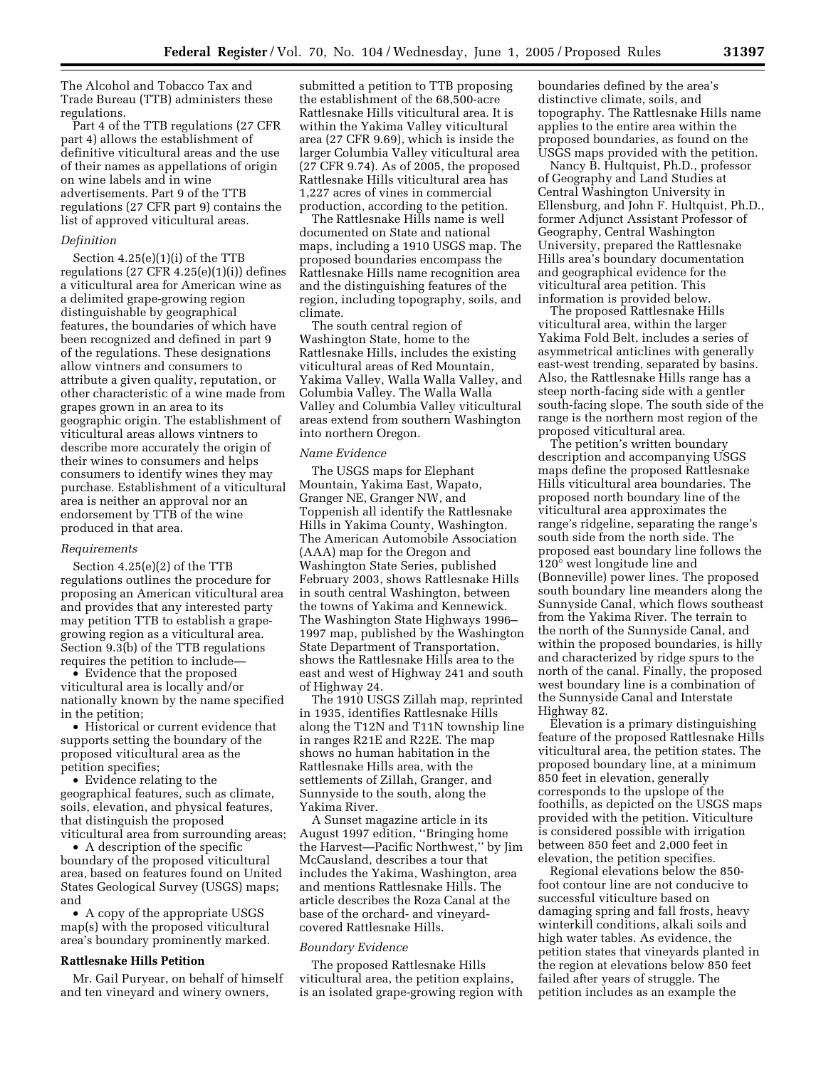The Alcohol and Tobacco Tax and Trade Bureau (TTB) administers these regulations.

Part 4 of the TTB regulations (27 CFR part 4) allows the establishment of definitive viticultural areas and the use of their names as appellations of origin on wine labels and in wine advertisements. Part 9 of the TTB regulations (27 CFR part 9) contains the list of approved viticultural areas.

### *Definition*

Section 4.25(e)(1)(i) of the TTB regulations  $(27 \text{ CFR } 4.25(e)(1)(i))$  defines a viticultural area for American wine as a delimited grape-growing region distinguishable by geographical features, the boundaries of which have been recognized and defined in part 9 of the regulations. These designations allow vintners and consumers to attribute a given quality, reputation, or other characteristic of a wine made from grapes grown in an area to its geographic origin. The establishment of viticultural areas allows vintners to describe more accurately the origin of their wines to consumers and helps consumers to identify wines they may purchase. Establishment of a viticultural area is neither an approval nor an endorsement by TTB of the wine produced in that area.

### *Requirements*

Section 4.25(e)(2) of the TTB regulations outlines the procedure for proposing an American viticultural area and provides that any interested party may petition TTB to establish a grapegrowing region as a viticultural area. Section 9.3(b) of the TTB regulations requires the petition to include—

• Evidence that the proposed viticultural area is locally and/or nationally known by the name specified in the petition;

• Historical or current evidence that supports setting the boundary of the proposed viticultural area as the petition specifies;

• Evidence relating to the geographical features, such as climate, soils, elevation, and physical features, that distinguish the proposed viticultural area from surrounding areas;

• A description of the specific boundary of the proposed viticultural area, based on features found on United States Geological Survey (USGS) maps; and

• A copy of the appropriate USGS map(s) with the proposed viticultural area's boundary prominently marked.

### **Rattlesnake Hills Petition**

Mr. Gail Puryear, on behalf of himself and ten vineyard and winery owners,

submitted a petition to TTB proposing the establishment of the 68,500-acre Rattlesnake Hills viticultural area. It is within the Yakima Valley viticultural area (27 CFR 9.69), which is inside the larger Columbia Valley viticultural area (27 CFR 9.74). As of 2005, the proposed Rattlesnake Hills viticultural area has 1,227 acres of vines in commercial production, according to the petition.

The Rattlesnake Hills name is well documented on State and national maps, including a 1910 USGS map. The proposed boundaries encompass the Rattlesnake Hills name recognition area and the distinguishing features of the region, including topography, soils, and climate.

The south central region of Washington State, home to the Rattlesnake Hills, includes the existing viticultural areas of Red Mountain, Yakima Valley, Walla Walla Valley, and Columbia Valley. The Walla Walla Valley and Columbia Valley viticultural areas extend from southern Washington into northern Oregon.

#### *Name Evidence*

The USGS maps for Elephant Mountain, Yakima East, Wapato, Granger NE, Granger NW, and Toppenish all identify the Rattlesnake Hills in Yakima County, Washington. The American Automobile Association (AAA) map for the Oregon and Washington State Series, published February 2003, shows Rattlesnake Hills in south central Washington, between the towns of Yakima and Kennewick. The Washington State Highways 1996– 1997 map, published by the Washington State Department of Transportation, shows the Rattlesnake Hills area to the east and west of Highway 241 and south of Highway 24.

The 1910 USGS Zillah map, reprinted in 1935, identifies Rattlesnake Hills along the T12N and T11N township line in ranges R21E and R22E. The map shows no human habitation in the Rattlesnake Hills area, with the settlements of Zillah, Granger, and Sunnyside to the south, along the Yakima River.

A Sunset magazine article in its August 1997 edition, ''Bringing home the Harvest—Pacific Northwest,'' by Jim McCausland, describes a tour that includes the Yakima, Washington, area and mentions Rattlesnake Hills. The article describes the Roza Canal at the base of the orchard- and vineyardcovered Rattlesnake Hills.

### *Boundary Evidence*

The proposed Rattlesnake Hills viticultural area, the petition explains, is an isolated grape-growing region with boundaries defined by the area's distinctive climate, soils, and topography. The Rattlesnake Hills name applies to the entire area within the proposed boundaries, as found on the USGS maps provided with the petition.

Nancy B. Hultquist, Ph.D., professor of Geography and Land Studies at Central Washington University in Ellensburg, and John F. Hultquist, Ph.D., former Adjunct Assistant Professor of Geography, Central Washington University, prepared the Rattlesnake Hills area's boundary documentation and geographical evidence for the viticultural area petition. This information is provided below.

The proposed Rattlesnake Hills viticultural area, within the larger Yakima Fold Belt, includes a series of asymmetrical anticlines with generally east-west trending, separated by basins. Also, the Rattlesnake Hills range has a steep north-facing side with a gentler south-facing slope. The south side of the range is the northern most region of the proposed viticultural area.

The petition's written boundary description and accompanying USGS maps define the proposed Rattlesnake Hills viticultural area boundaries. The proposed north boundary line of the viticultural area approximates the range's ridgeline, separating the range's south side from the north side. The proposed east boundary line follows the 120° west longitude line and (Bonneville) power lines. The proposed south boundary line meanders along the Sunnyside Canal, which flows southeast from the Yakima River. The terrain to the north of the Sunnyside Canal, and within the proposed boundaries, is hilly and characterized by ridge spurs to the north of the canal. Finally, the proposed west boundary line is a combination of the Sunnyside Canal and Interstate Highway 82.

Elevation is a primary distinguishing feature of the proposed Rattlesnake Hills viticultural area, the petition states. The proposed boundary line, at a minimum 850 feet in elevation, generally corresponds to the upslope of the foothills, as depicted on the USGS maps provided with the petition. Viticulture is considered possible with irrigation between 850 feet and 2,000 feet in elevation, the petition specifies.

Regional elevations below the 850 foot contour line are not conducive to successful viticulture based on damaging spring and fall frosts, heavy winterkill conditions, alkali soils and high water tables. As evidence, the petition states that vineyards planted in the region at elevations below 850 feet failed after years of struggle. The petition includes as an example the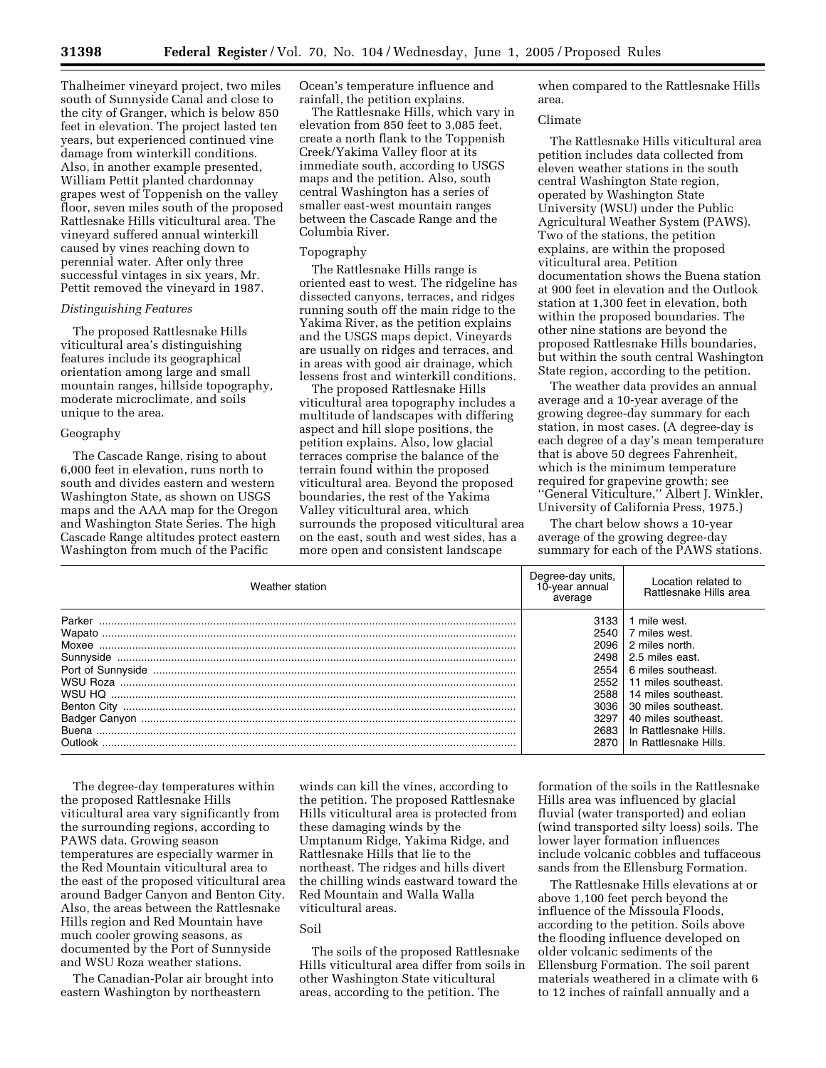Thalheimer vineyard project, two miles south of Sunnyside Canal and close to the city of Granger, which is below 850 feet in elevation. The project lasted ten years, but experienced continued vine damage from winterkill conditions. Also, in another example presented, William Pettit planted chardonnay grapes west of Toppenish on the valley floor, seven miles south of the proposed Rattlesnake Hills viticultural area. The vineyard suffered annual winterkill caused by vines reaching down to perennial water. After only three successful vintages in six years, Mr. Pettit removed the vineyard in 1987.

## *Distinguishing Features*

The proposed Rattlesnake Hills viticultural area's distinguishing features include its geographical orientation among large and small mountain ranges, hillside topography, moderate microclimate, and soils unique to the area.

### Geography

The Cascade Range, rising to about 6,000 feet in elevation, runs north to south and divides eastern and western Washington State, as shown on USGS maps and the AAA map for the Oregon and Washington State Series. The high Cascade Range altitudes protect eastern Washington from much of the Pacific

Ocean's temperature influence and rainfall, the petition explains.

The Rattlesnake Hills, which vary in elevation from 850 feet to 3,085 feet, create a north flank to the Toppenish Creek/Yakima Valley floor at its immediate south, according to USGS maps and the petition. Also, south central Washington has a series of smaller east-west mountain ranges between the Cascade Range and the Columbia River.

### Topography

The Rattlesnake Hills range is oriented east to west. The ridgeline has dissected canyons, terraces, and ridges running south off the main ridge to the Yakima River, as the petition explains and the USGS maps depict. Vineyards are usually on ridges and terraces, and in areas with good air drainage, which lessens frost and winterkill conditions.

The proposed Rattlesnake Hills viticultural area topography includes a multitude of landscapes with differing aspect and hill slope positions, the petition explains. Also, low glacial terraces comprise the balance of the terrain found within the proposed viticultural area. Beyond the proposed boundaries, the rest of the Yakima Valley viticultural area, which surrounds the proposed viticultural area on the east, south and west sides, has a more open and consistent landscape

when compared to the Rattlesnake Hills area.

### Climate

The Rattlesnake Hills viticultural area petition includes data collected from eleven weather stations in the south central Washington State region, operated by Washington State University (WSU) under the Public Agricultural Weather System (PAWS). Two of the stations, the petition explains, are within the proposed viticultural area. Petition documentation shows the Buena station at 900 feet in elevation and the Outlook station at 1,300 feet in elevation, both within the proposed boundaries. The other nine stations are beyond the proposed Rattlesnake Hills boundaries, but within the south central Washington State region, according to the petition.

The weather data provides an annual average and a 10-year average of the growing degree-day summary for each station, in most cases. (A degree-day is each degree of a day's mean temperature that is above 50 degrees Fahrenheit, which is the minimum temperature required for grapevine growth; see ''General Viticulture,'' Albert J. Winkler, University of California Press, 1975.)

The chart below shows a 10-year average of the growing degree-day summary for each of the PAWS stations.

| Weather station                          | Degree-day units,<br>10-year annual<br>average                                       | Location related to<br><b>Rattlesnake Hills area</b>                                                                                                                                                                                   |
|------------------------------------------|--------------------------------------------------------------------------------------|----------------------------------------------------------------------------------------------------------------------------------------------------------------------------------------------------------------------------------------|
| Moxee<br>Benton City<br>Ruena<br>Outlook | 3133<br>2540<br>2096<br>2498<br>2554<br>2552<br>2588<br>3036<br>3297<br>2683<br>2870 | 1 mile west.<br>7 miles west.<br>2 miles north.<br>2.5 miles east.<br>6 miles southeast.<br>11 miles southeast.<br>14 miles southeast.<br>30 miles southeast.<br>40 miles southeast.<br>In Rattlesnake Hills.<br>In Rattlesnake Hills. |

The degree-day temperatures within the proposed Rattlesnake Hills viticultural area vary significantly from the surrounding regions, according to PAWS data. Growing season temperatures are especially warmer in the Red Mountain viticultural area to the east of the proposed viticultural area around Badger Canyon and Benton City. Also, the areas between the Rattlesnake Hills region and Red Mountain have much cooler growing seasons, as documented by the Port of Sunnyside and WSU Roza weather stations.

The Canadian-Polar air brought into eastern Washington by northeastern

winds can kill the vines, according to the petition. The proposed Rattlesnake Hills viticultural area is protected from these damaging winds by the Umptanum Ridge, Yakima Ridge, and Rattlesnake Hills that lie to the northeast. The ridges and hills divert the chilling winds eastward toward the Red Mountain and Walla Walla viticultural areas.

# Soil

The soils of the proposed Rattlesnake Hills viticultural area differ from soils in other Washington State viticultural areas, according to the petition. The

formation of the soils in the Rattlesnake Hills area was influenced by glacial fluvial (water transported) and eolian (wind transported silty loess) soils. The lower layer formation influences include volcanic cobbles and tuffaceous sands from the Ellensburg Formation.

The Rattlesnake Hills elevations at or above 1,100 feet perch beyond the influence of the Missoula Floods, according to the petition. Soils above the flooding influence developed on older volcanic sediments of the Ellensburg Formation. The soil parent materials weathered in a climate with 6 to 12 inches of rainfall annually and a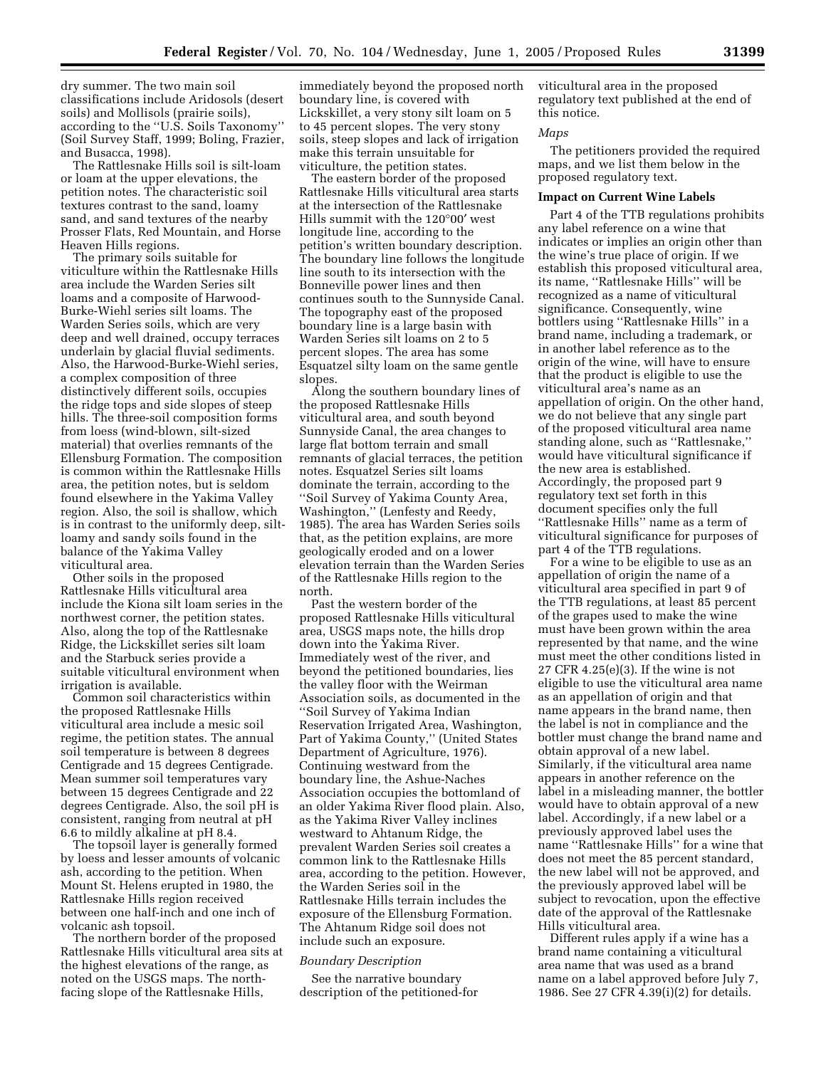dry summer. The two main soil classifications include Aridosols (desert soils) and Mollisols (prairie soils), according to the ''U.S. Soils Taxonomy'' (Soil Survey Staff, 1999; Boling, Frazier, and Busacca, 1998).

The Rattlesnake Hills soil is silt-loam or loam at the upper elevations, the petition notes. The characteristic soil textures contrast to the sand, loamy sand, and sand textures of the nearby Prosser Flats, Red Mountain, and Horse Heaven Hills regions.

The primary soils suitable for viticulture within the Rattlesnake Hills area include the Warden Series silt loams and a composite of Harwood-Burke-Wiehl series silt loams. The Warden Series soils, which are very deep and well drained, occupy terraces underlain by glacial fluvial sediments. Also, the Harwood-Burke-Wiehl series, a complex composition of three distinctively different soils, occupies the ridge tops and side slopes of steep hills. The three-soil composition forms from loess (wind-blown, silt-sized material) that overlies remnants of the Ellensburg Formation. The composition is common within the Rattlesnake Hills area, the petition notes, but is seldom found elsewhere in the Yakima Valley region. Also, the soil is shallow, which is in contrast to the uniformly deep, siltloamy and sandy soils found in the balance of the Yakima Valley viticultural area.

Other soils in the proposed Rattlesnake Hills viticultural area include the Kiona silt loam series in the northwest corner, the petition states. Also, along the top of the Rattlesnake Ridge, the Lickskillet series silt loam and the Starbuck series provide a suitable viticultural environment when irrigation is available.

Common soil characteristics within the proposed Rattlesnake Hills viticultural area include a mesic soil regime, the petition states. The annual soil temperature is between 8 degrees Centigrade and 15 degrees Centigrade. Mean summer soil temperatures vary between 15 degrees Centigrade and 22 degrees Centigrade. Also, the soil pH is consistent, ranging from neutral at pH 6.6 to mildly alkaline at pH 8.4.

The topsoil layer is generally formed by loess and lesser amounts of volcanic ash, according to the petition. When Mount St. Helens erupted in 1980, the Rattlesnake Hills region received between one half-inch and one inch of volcanic ash topsoil.

The northern border of the proposed Rattlesnake Hills viticultural area sits at the highest elevations of the range, as noted on the USGS maps. The northfacing slope of the Rattlesnake Hills,

immediately beyond the proposed north boundary line, is covered with Lickskillet, a very stony silt loam on 5 to 45 percent slopes. The very stony soils, steep slopes and lack of irrigation make this terrain unsuitable for viticulture, the petition states.

The eastern border of the proposed Rattlesnake Hills viticultural area starts at the intersection of the Rattlesnake Hills summit with the 120°00′ west longitude line, according to the petition's written boundary description. The boundary line follows the longitude line south to its intersection with the Bonneville power lines and then continues south to the Sunnyside Canal. The topography east of the proposed boundary line is a large basin with Warden Series silt loams on 2 to 5 percent slopes. The area has some Esquatzel silty loam on the same gentle slopes.

Along the southern boundary lines of the proposed Rattlesnake Hills viticultural area, and south beyond Sunnyside Canal, the area changes to large flat bottom terrain and small remnants of glacial terraces, the petition notes. Esquatzel Series silt loams dominate the terrain, according to the ''Soil Survey of Yakima County Area, Washington,'' (Lenfesty and Reedy, 1985). The area has Warden Series soils that, as the petition explains, are more geologically eroded and on a lower elevation terrain than the Warden Series of the Rattlesnake Hills region to the north.

Past the western border of the proposed Rattlesnake Hills viticultural area, USGS maps note, the hills drop down into the Yakima River. Immediately west of the river, and beyond the petitioned boundaries, lies the valley floor with the Weirman Association soils, as documented in the ''Soil Survey of Yakima Indian Reservation Irrigated Area, Washington, Part of Yakima County,'' (United States Department of Agriculture, 1976). Continuing westward from the boundary line, the Ashue-Naches Association occupies the bottomland of an older Yakima River flood plain. Also, as the Yakima River Valley inclines westward to Ahtanum Ridge, the prevalent Warden Series soil creates a common link to the Rattlesnake Hills area, according to the petition. However, the Warden Series soil in the Rattlesnake Hills terrain includes the exposure of the Ellensburg Formation. The Ahtanum Ridge soil does not include such an exposure.

### *Boundary Description*

See the narrative boundary description of the petitioned-for viticultural area in the proposed regulatory text published at the end of this notice.

# *Maps*

The petitioners provided the required maps, and we list them below in the proposed regulatory text.

### **Impact on Current Wine Labels**

Part 4 of the TTB regulations prohibits any label reference on a wine that indicates or implies an origin other than the wine's true place of origin. If we establish this proposed viticultural area, its name, ''Rattlesnake Hills'' will be recognized as a name of viticultural significance. Consequently, wine bottlers using ''Rattlesnake Hills'' in a brand name, including a trademark, or in another label reference as to the origin of the wine, will have to ensure that the product is eligible to use the viticultural area's name as an appellation of origin. On the other hand, we do not believe that any single part of the proposed viticultural area name standing alone, such as ''Rattlesnake,'' would have viticultural significance if the new area is established. Accordingly, the proposed part 9 regulatory text set forth in this document specifies only the full ''Rattlesnake Hills'' name as a term of viticultural significance for purposes of part 4 of the TTB regulations.

For a wine to be eligible to use as an appellation of origin the name of a viticultural area specified in part 9 of the TTB regulations, at least 85 percent of the grapes used to make the wine must have been grown within the area represented by that name, and the wine must meet the other conditions listed in 27 CFR 4.25(e)(3). If the wine is not eligible to use the viticultural area name as an appellation of origin and that name appears in the brand name, then the label is not in compliance and the bottler must change the brand name and obtain approval of a new label. Similarly, if the viticultural area name appears in another reference on the label in a misleading manner, the bottler would have to obtain approval of a new label. Accordingly, if a new label or a previously approved label uses the name ''Rattlesnake Hills'' for a wine that does not meet the 85 percent standard, the new label will not be approved, and the previously approved label will be subject to revocation, upon the effective date of the approval of the Rattlesnake Hills viticultural area.

Different rules apply if a wine has a brand name containing a viticultural area name that was used as a brand name on a label approved before July 7, 1986. See 27 CFR 4.39(i)(2) for details.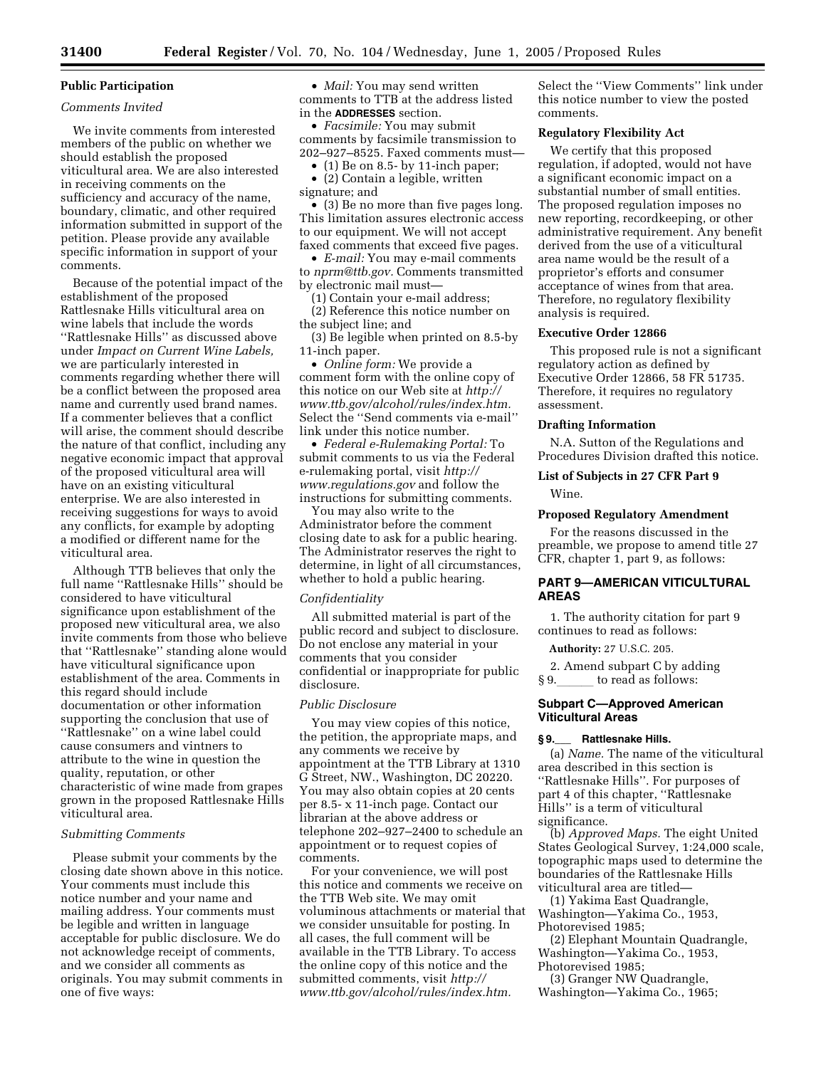# **Public Participation**

## *Comments Invited*

We invite comments from interested members of the public on whether we should establish the proposed viticultural area. We are also interested in receiving comments on the sufficiency and accuracy of the name, boundary, climatic, and other required information submitted in support of the petition. Please provide any available specific information in support of your comments.

Because of the potential impact of the establishment of the proposed Rattlesnake Hills viticultural area on wine labels that include the words ''Rattlesnake Hills'' as discussed above under *Impact on Current Wine Labels,* we are particularly interested in comments regarding whether there will be a conflict between the proposed area name and currently used brand names. If a commenter believes that a conflict will arise, the comment should describe the nature of that conflict, including any negative economic impact that approval of the proposed viticultural area will have on an existing viticultural enterprise. We are also interested in receiving suggestions for ways to avoid any conflicts, for example by adopting a modified or different name for the viticultural area.

Although TTB believes that only the full name ''Rattlesnake Hills'' should be considered to have viticultural significance upon establishment of the proposed new viticultural area, we also invite comments from those who believe that ''Rattlesnake'' standing alone would have viticultural significance upon establishment of the area. Comments in this regard should include documentation or other information supporting the conclusion that use of ''Rattlesnake'' on a wine label could cause consumers and vintners to attribute to the wine in question the quality, reputation, or other characteristic of wine made from grapes grown in the proposed Rattlesnake Hills viticultural area.

#### *Submitting Comments*

Please submit your comments by the closing date shown above in this notice. Your comments must include this notice number and your name and mailing address. Your comments must be legible and written in language acceptable for public disclosure. We do not acknowledge receipt of comments, and we consider all comments as originals. You may submit comments in one of five ways:

• *Mail:* You may send written comments to TTB at the address listed in the **ADDRESSES** section.

• *Facsimile:* You may submit comments by facsimile transmission to 202–927–8525. Faxed comments must—

• (1) Be on 8.5- by 11-inch paper;

• (2) Contain a legible, written signature; and

• (3) Be no more than five pages long. This limitation assures electronic access to our equipment. We will not accept faxed comments that exceed five pages.

• *E-mail:* You may e-mail comments to *nprm@ttb.gov.* Comments transmitted by electronic mail must—

(1) Contain your e-mail address;

(2) Reference this notice number on the subject line; and

(3) Be legible when printed on 8.5-by 11-inch paper.

• *Online form:* We provide a comment form with the online copy of this notice on our Web site at *http:// www.ttb.gov/alcohol/rules/index.htm.* Select the ''Send comments via e-mail'' link under this notice number.

• *Federal e-Rulemaking Portal:* To submit comments to us via the Federal e-rulemaking portal, visit *http:// www.regulations.gov* and follow the instructions for submitting comments.

You may also write to the Administrator before the comment closing date to ask for a public hearing. The Administrator reserves the right to determine, in light of all circumstances, whether to hold a public hearing.

### *Confidentiality*

All submitted material is part of the public record and subject to disclosure. Do not enclose any material in your comments that you consider confidential or inappropriate for public disclosure.

# *Public Disclosure*

You may view copies of this notice, the petition, the appropriate maps, and any comments we receive by appointment at the TTB Library at 1310 G Street, NW., Washington, DC 20220. You may also obtain copies at 20 cents per 8.5- x 11-inch page. Contact our librarian at the above address or telephone 202–927–2400 to schedule an appointment or to request copies of comments.

For your convenience, we will post this notice and comments we receive on the TTB Web site. We may omit voluminous attachments or material that we consider unsuitable for posting. In all cases, the full comment will be available in the TTB Library. To access the online copy of this notice and the submitted comments, visit *http:// www.ttb.gov/alcohol/rules/index.htm.*

Select the ''View Comments'' link under this notice number to view the posted comments.

# **Regulatory Flexibility Act**

We certify that this proposed regulation, if adopted, would not have a significant economic impact on a substantial number of small entities. The proposed regulation imposes no new reporting, recordkeeping, or other administrative requirement. Any benefit derived from the use of a viticultural area name would be the result of a proprietor's efforts and consumer acceptance of wines from that area. Therefore, no regulatory flexibility analysis is required.

## **Executive Order 12866**

This proposed rule is not a significant regulatory action as defined by Executive Order 12866, 58 FR 51735. Therefore, it requires no regulatory assessment.

#### **Drafting Information**

N.A. Sutton of the Regulations and Procedures Division drafted this notice.

# **List of Subjects in 27 CFR Part 9**

Wine.

#### **Proposed Regulatory Amendment**

For the reasons discussed in the preamble, we propose to amend title 27 CFR, chapter 1, part 9, as follows:

### **PART 9—AMERICAN VITICULTURAL AREAS**

1. The authority citation for part 9 continues to read as follows:

**Authority:** 27 U.S.C. 205.

2. Amend subpart C by adding § 9. to read as follows:

### **Subpart C—Approved American Viticultural Areas**

### **§ 9.**\_\_\_ **Rattlesnake Hills.**

(a) *Name.* The name of the viticultural area described in this section is ''Rattlesnake Hills''. For purposes of part 4 of this chapter, ''Rattlesnake Hills'' is a term of viticultural significance.

(b) *Approved Maps.* The eight United States Geological Survey, 1:24,000 scale, topographic maps used to determine the boundaries of the Rattlesnake Hills viticultural area are titled—

(1) Yakima East Quadrangle, Washington—Yakima Co., 1953, Photorevised 1985;

(2) Elephant Mountain Quadrangle, Washington—Yakima Co., 1953, Photorevised 1985;

(3) Granger NW Quadrangle, Washington—Yakima Co., 1965;